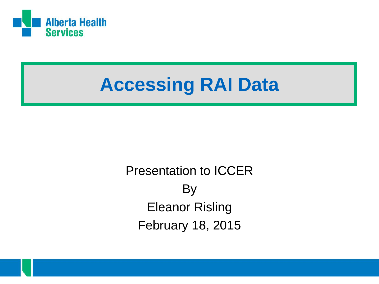

### **Accessing RAI Data**

Presentation to ICCER By Eleanor Risling February 18, 2015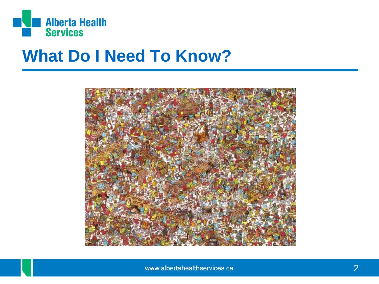

#### **What Do I Need To Know?**

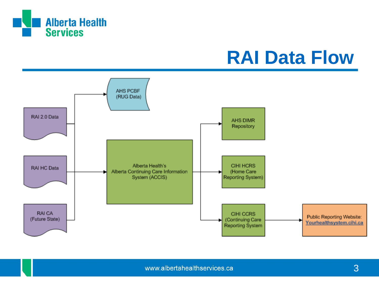

#### **RAI Data Flow**

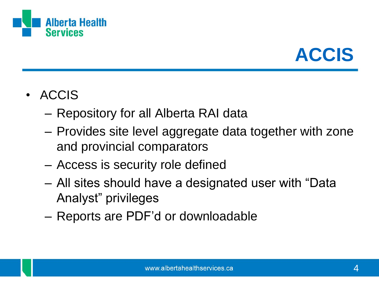



- ACCIS
	- Repository for all Alberta RAI data
	- Provides site level aggregate data together with zone and provincial comparators
	- Access is security role defined
	- All sites should have a designated user with "Data Analyst" privileges
	- Reports are PDF'd or downloadable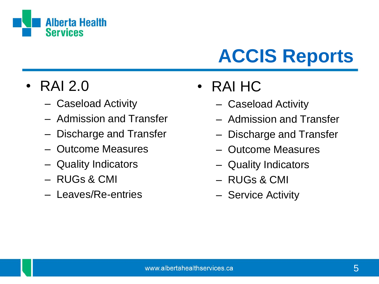

# **ACCIS Reports**

#### • RAI 2.0

- Caseload Activity
- Admission and Transfer
- Discharge and Transfer
- Outcome Measures
- Quality Indicators
- RUGs & CMI
- Leaves/Re-entries
- RAI HC
	- Caseload Activity
	- Admission and Transfer
	- Discharge and Transfer
	- Outcome Measures
	- Quality Indicators
	- RUGs & CMI
	- Service Activity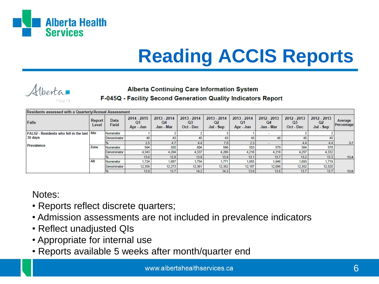

# **Reading ACCIS Reports**

#### Alberta

#### **Alberta Continuing Care Information System**

F-045Q - Facility Second Generation Quality Indicators Report

| Residents assessed with a Quarterly/Annual Assessment |                 |                      |                                |                                            |                                            |                                |                                |                                  |                                  |                                       |                       |
|-------------------------------------------------------|-----------------|----------------------|--------------------------------|--------------------------------------------|--------------------------------------------|--------------------------------|--------------------------------|----------------------------------|----------------------------------|---------------------------------------|-----------------------|
| Falls                                                 | Report<br>Level | Data<br><b>Field</b> | 2014 - 2015<br>Q1<br>Apr - Jun | 2013 - 2014<br>Q <sub>4</sub><br>Jan - Mar | 2013 - 2014<br>Q <sub>3</sub><br>Oct - Dec | 2013 - 2014<br>Q2<br>Jul - Sep | 2013 - 2014<br>Q1<br>Apr - Jun | $2012 - 2013$<br>Q4<br>Jan - Mar | $2012 - 2013$<br>Q3<br>Oct - Dec | 2012 - 2013<br><b>Q2</b><br>Jul - Sep | Average<br>Percentage |
| <b>FAL02</b> - Residents who fell in the last Site    |                 | Numerator            |                                |                                            |                                            |                                |                                |                                  |                                  |                                       |                       |
| 30 days                                               |                 | Denominator          | 40                             | 43                                         | 45                                         | 43                             | 43                             | 46                               | 45                               | 45                                    |                       |
|                                                       |                 |                      | 2.5                            | 4.7                                        | 4.4                                        | 7.0                            | 2.3                            |                                  | 4.4                              | 4.4                                   | 3.7                   |
| Prevalence                                            | Zone            | Numerator            | 564                            | 550                                        | 604                                        | 596                            | 553                            | 579                              | 564                              | 578                                   |                       |
|                                                       |                 | Denominator          | 4,343                          | 4.294                                      | 4.337                                      | 4.286                          | 4,216                          | 4.218                            | 4.257                            | 4,332                                 |                       |
|                                                       |                 |                      | 13.0                           | 12.8                                       | 13.9                                       | 13.9                           | 13.1                           | 13.7                             | 13.2                             | 13.3 <sub>1</sub>                     | 13.4                  |
|                                                       | AB              | Numerator            | 1,724                          | 1,687                                      | 1.754                                      | 1,771                          | 1,655                          | 1,646                            | 1,693                            | 1,719                                 |                       |
|                                                       |                 | Denominator          | 12,359                         | 12.273                                     | 12.361                                     | 12,352                         | 12,187                         | 12.096                           | 12,352                           | 12,520                                |                       |
|                                                       |                 |                      | 13.9                           | 13.7                                       | 14.2                                       | 14.3                           | 13.6                           | 13.6                             | 13.7                             | 13.7                                  | 13.9                  |

Notes:

- Reports reflect discrete quarters;
- Admission assessments are not included in prevalence indicators
- Reflect unadjusted QIs
- Appropriate for internal use
- Reports available 5 weeks after month/quarter end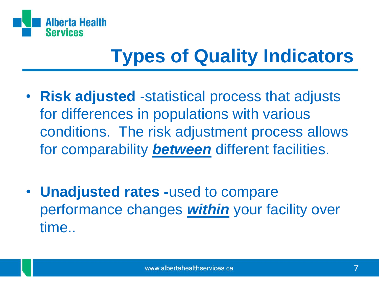

## **Types of Quality Indicators**

- **Risk adjusted** -statistical process that adjusts for differences in populations with various conditions. The risk adjustment process allows for comparability *between* different facilities.
- **Unadjusted rates -**used to compare performance changes *within* your facility over time..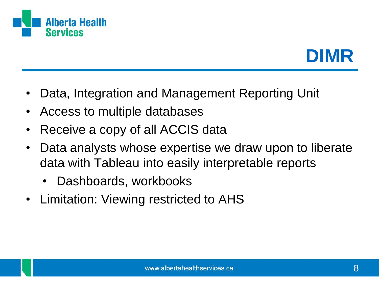



- Data, Integration and Management Reporting Unit
- Access to multiple databases
- Receive a copy of all ACCIS data
- Data analysts whose expertise we draw upon to liberate data with Tableau into easily interpretable reports
	- Dashboards, workbooks
- Limitation: Viewing restricted to AHS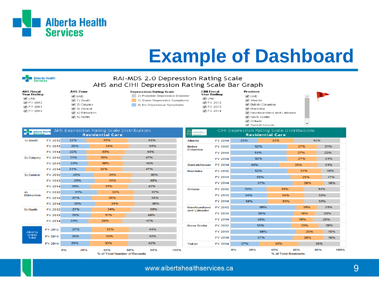

### **Example of Dashboard**

#### RAI-MDS 2.0 Depression Rating Scale AHS and CIHI Depression Rating Scale Bar Graph

| AHS Fiscal<br>Year Ending     |  |
|-------------------------------|--|
| $\blacktriangleright$ (All)   |  |
| $\blacktriangleright$ FY 2012 |  |
| $\blacktriangledown$ FY 2013  |  |
| $\blacktriangleright$ FY 2014 |  |

**Example 12** Alberta Health

| AHS Zone                         |  |  |  |  |  |  |  |
|----------------------------------|--|--|--|--|--|--|--|
| $\blacktriangleright$ (All)      |  |  |  |  |  |  |  |
| $\blacktriangleright$ 1) South   |  |  |  |  |  |  |  |
| $\blacktriangleright$ 2) Calgary |  |  |  |  |  |  |  |
| $\blacktriangleright$ 3) Central |  |  |  |  |  |  |  |
| $(4)$ Edmonton                   |  |  |  |  |  |  |  |
| l✔l 51 North                     |  |  |  |  |  |  |  |



CIHI Fiscal **Year Ending**  $\blacksquare$  (AII) ■ FY 2012 **Ø** FY 2013 ● FY 2014

Province  $\blacksquare$  (All) ✔ Alberta ✔ British Columbia Manitoba Newfoundland and Labrador ✔ Nova Scotia ✔ Ontario

M Saskatchewan



| <b>Expanding Alberta Health</b> |                |           | AHS Depression Rating Scale Distributions<br><b>Residential Care</b> |            | 꾮<br>Canadian Institute<br>matted canadian |         |           | CIHI Depression Rating Scale Distributions<br><b>Residential Care</b> |            |             |  |
|---------------------------------|----------------|-----------|----------------------------------------------------------------------|------------|--------------------------------------------|---------|-----------|-----------------------------------------------------------------------|------------|-------------|--|
| 1) South                        | FY 2012        | 22%       | 35%                                                                  | 43%        | Alberta                                    | FY 2014 | 25%       | 33%                                                                   |            | 42%         |  |
|                                 | FY 2013        | 25%       | 34%                                                                  | 41%        | <b>British</b>                             | FY 2012 |           | 52%                                                                   | 27%        | 21%         |  |
|                                 | FY 2014        | 22%       | 33%                                                                  | 44%        | Columbia                                   | FY 2013 |           | 51%                                                                   | 27%        | 22%         |  |
| 2) Calgary                      | FY 2012        | 23%       | 30%                                                                  | 47%        |                                            | FY 2014 |           | 52%                                                                   | 27%        | 21%         |  |
|                                 | FY 2013        | 24%       | 30%                                                                  | 46%        | Saskatchewan                               | FY 2014 | 45%       |                                                                       | 35%        | 21%         |  |
|                                 | FY 2014        | 21%       | 32%                                                                  | 47%        | <b>Manitoba</b>                            | FY 2012 |           | 52%                                                                   | 31%        | 18%         |  |
| 3) Central                      | FY 2012        | 28%       | 34%                                                                  | 38%        |                                            | FY 2013 |           | 55%                                                                   | 29%        | 17%         |  |
|                                 | FY 2013        | 29%       | 31%                                                                  | 40%        |                                            | FY 2014 |           | 57%                                                                   | 28%        | 16%         |  |
|                                 | <b>FY 2014</b> | 26%       | 32%                                                                  | 42%        | Ontario                                    | FY 2012 | 33%       | 33%                                                                   |            | 34%         |  |
| 4)<br>Edmonton                  | FY 2012        | 31%       | 32%                                                                  | 37%        |                                            | FY 2013 | 34%       | 34%                                                                   |            | 33%         |  |
|                                 | FY 2013        | 27%       | 35%                                                                  | 38%        |                                            |         |           |                                                                       |            | 33%         |  |
|                                 | FY 2014        | 30%       | 34%                                                                  | 36%        |                                            | FY 2014 | 34%       |                                                                       | 33%<br>19% |             |  |
| 5) North                        | FY 2012        | 27%       | 34%                                                                  | 39%        | Newfoundland<br>and Labrador               | FY 2012 |           | 60%                                                                   |            | 21%         |  |
|                                 | FY 2013        | 26%       | 31%                                                                  | 44%        |                                            | FY 2013 |           | 58%                                                                   | 19%        | 23%         |  |
|                                 | FY 2014        | 24%       | 29%                                                                  | 47%        |                                            | FY 2014 |           | 56%                                                                   | 19%        | 25%         |  |
|                                 |                | 27%       | 32%                                                                  | 41%        | <b>Nova Scotia</b>                         | FY 2012 |           | 55%                                                                   | 25%        | 20%         |  |
| Alberta                         | FY 2012        |           |                                                                      |            |                                            | FY 2013 |           | 60%                                                                   | 25%        | 15%         |  |
| Grand<br>Total                  | FY 2013        | 26%       | 32%                                                                  | 42%        |                                            | FY 2014 |           | 57%                                                                   | 28%        | 16%         |  |
|                                 | FY 2014        | 25%       | 33%                                                                  | 42%        | Yukon                                      | FY 2014 | 27%       | 35%                                                                   |            | 38%         |  |
|                                 |                | 0%<br>20% | 40%<br>% of Total Number of Records                                  | 60%<br>80% | 100%                                       |         | 20%<br>0% | 40%<br>% of Total Residents                                           | 60%        | 100%<br>80% |  |

www.albertahealthservices.ca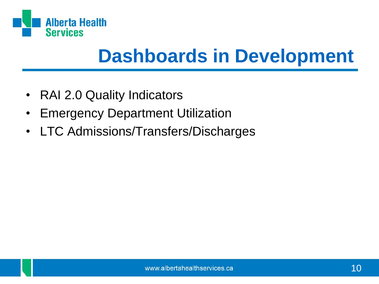

#### **Dashboards in Development**

- RAI 2.0 Quality Indicators
- Emergency Department Utilization
- LTC Admissions/Transfers/Discharges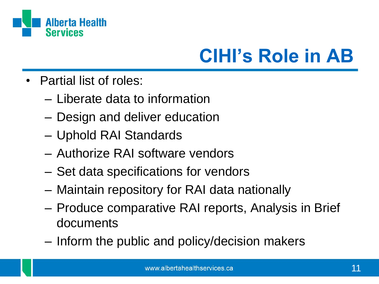

## **CIHI's Role in AB**

- Partial list of roles:
	- Liberate data to information
	- Design and deliver education
	- Uphold RAI Standards
	- Authorize RAI software vendors
	- Set data specifications for vendors
	- Maintain repository for RAI data nationally
	- Produce comparative RAI reports, Analysis in Brief documents
	- Inform the public and policy/decision makers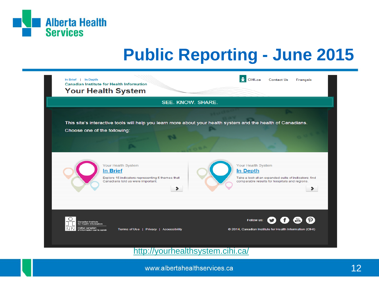

#### **Public Reporting - June 2015**



<http://yourhealthsystem.cihi.ca/>

www.albertahealthservices.ca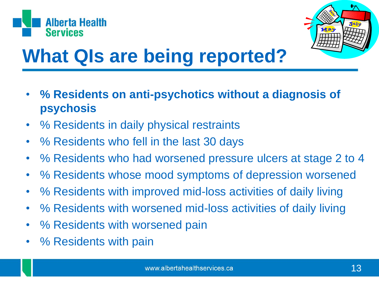



## **What QIs are being reported?**

- **% Residents on anti-psychotics without a diagnosis of psychosis**
- % Residents in daily physical restraints
- % Residents who fell in the last 30 days
- % Residents who had worsened pressure ulcers at stage 2 to 4
- % Residents whose mood symptoms of depression worsened
- % Residents with improved mid-loss activities of daily living
- % Residents with worsened mid-loss activities of daily living
- % Residents with worsened pain
- % Residents with pain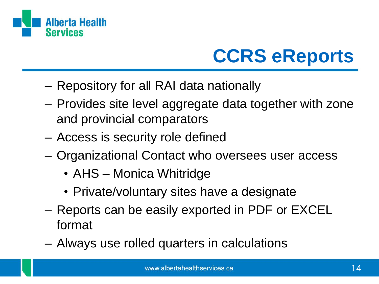

## **CCRS eReports**

- Repository for all RAI data nationally
- Provides site level aggregate data together with zone and provincial comparators
- Access is security role defined
- Organizational Contact who oversees user access
	- AHS Monica Whitridge
	- Private/voluntary sites have a designate
- Reports can be easily exported in PDF or EXCEL format
- Always use rolled quarters in calculations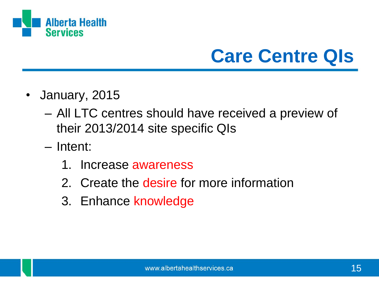

### **Care Centre QIs**

- January, 2015
	- All LTC centres should have received a preview of their 2013/2014 site specific QIs
	- Intent:
		- 1. Increase awareness
		- 2. Create the desire for more information
		- 3. Enhance knowledge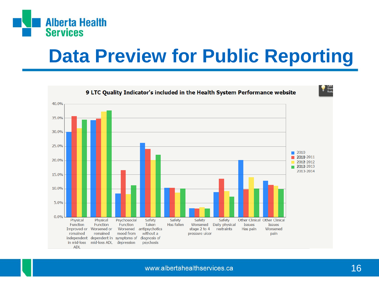

#### **Data Preview for Public Reporting**

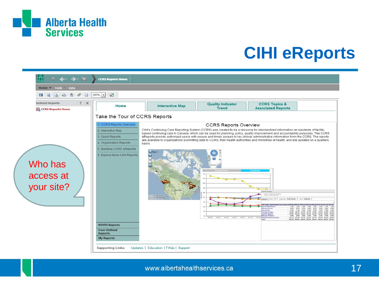

#### **CIHI eReports**

| $\frac{1}{n}$<br>$\leftarrow$ $\rightarrow$ $\rightarrow$                         | <b>CCRS Reports Home</b>                                                                                                                                                                                                                        |                                                                                                                                                                                                                                                                                                                                                                                                                                                                                                                                                                                           |                                                                                     |                                                                                                                                                                                                                                                                                                                          |                                                                                                                                                                                                                                                                                                                                                                                                                |  |  |  |  |  |  |  |
|-----------------------------------------------------------------------------------|-------------------------------------------------------------------------------------------------------------------------------------------------------------------------------------------------------------------------------------------------|-------------------------------------------------------------------------------------------------------------------------------------------------------------------------------------------------------------------------------------------------------------------------------------------------------------------------------------------------------------------------------------------------------------------------------------------------------------------------------------------------------------------------------------------------------------------------------------------|-------------------------------------------------------------------------------------|--------------------------------------------------------------------------------------------------------------------------------------------------------------------------------------------------------------------------------------------------------------------------------------------------------------------------|----------------------------------------------------------------------------------------------------------------------------------------------------------------------------------------------------------------------------------------------------------------------------------------------------------------------------------------------------------------------------------------------------------------|--|--|--|--|--|--|--|
| Home $\bullet$ Tools $\overline{\phantom{a}}$<br>Data                             |                                                                                                                                                                                                                                                 |                                                                                                                                                                                                                                                                                                                                                                                                                                                                                                                                                                                           |                                                                                     |                                                                                                                                                                                                                                                                                                                          |                                                                                                                                                                                                                                                                                                                                                                                                                |  |  |  |  |  |  |  |
| $\mathcal{S}$<br>圖<br>L                                                           | 國<br>$100%$ $\bullet$                                                                                                                                                                                                                           |                                                                                                                                                                                                                                                                                                                                                                                                                                                                                                                                                                                           |                                                                                     |                                                                                                                                                                                                                                                                                                                          |                                                                                                                                                                                                                                                                                                                                                                                                                |  |  |  |  |  |  |  |
| $?$ $\times$<br><b>Related Reports</b><br><b>II<sub>B</sub></b> CCRS Reports Home | Home                                                                                                                                                                                                                                            | <b>Interactive Map</b>                                                                                                                                                                                                                                                                                                                                                                                                                                                                                                                                                                    | <b>Quality Indicator</b><br><b>Trend</b>                                            | <b>CCRS Topics &amp;</b><br><b>Associated Reports</b>                                                                                                                                                                                                                                                                    |                                                                                                                                                                                                                                                                                                                                                                                                                |  |  |  |  |  |  |  |
|                                                                                   | Take the Tour of CCRS Reports                                                                                                                                                                                                                   |                                                                                                                                                                                                                                                                                                                                                                                                                                                                                                                                                                                           |                                                                                     |                                                                                                                                                                                                                                                                                                                          |                                                                                                                                                                                                                                                                                                                                                                                                                |  |  |  |  |  |  |  |
| Who has<br>access at<br>your site?                                                | 1. CCRS Reports Overview<br>2. Interactive Map<br>3. Quick Reports<br>4. Organization Reports<br>5. Building CCRS eReports<br>6. Explore More CIHI Reports<br><b>RWPD Reports</b><br><b>User-Defined</b><br><b>Reports</b><br><b>My Reports</b> | CIHI's Continuing Care Reporting System (CCRS) was created to be a resource for standardized information on residents of facility-<br>based continuing care in Canada, which can be used for planning, policy, quality improvement and accountability purposes. The CCRS<br>eReports provide authorized users with secure and timely access to key clinical administrative information from the CCRS. The reports<br>are available to organizations submitting data to CCRS, their health authorities and ministries of health, and are updated on a quarterly<br>basis.<br>1 395 458 950 | <b>CCRS Reports Overview</b><br>2008-04<br>2012 Q1<br>2010 03<br>2019 03<br>2010/04 | $\sim$<br>NUMBER<br>rept 1: Organization Selecty<br>virtual = Anti-th-Columbia<br><b>DG Class - H</b><br>becial Rehabilitation<br>1.3%<br><b>Extensive Service</b><br>6.9%<br><b>Concret Case</b><br><b>Incally Congle</b><br>pared Cognition<br><b>Isharipur Problem</b><br>2011-01<br>2011-07 Reduced Physical Functor | 00 04 2010 01 2010 02 2010 03 2010 04 2011 01 2011 02 2011 03<br>1.4%<br>1.6%<br>1.8%<br>1.6%<br>1.4%<br>1.4%<br>0.6% 8.7% 0.7% 0.5%<br>0.5%<br>0.6%<br>0.676<br>0.6%<br>7.1% 7.0% 7.0% 6.9%<br>7.2%<br>7.0%<br>7.0%<br>10.6% 10.7% 10.3% 10.7% 10.8% 10.9% 10.8% 10.6%<br>23 8% 24 4% 24 2% 24 1% 24 2% 23 7% 23 6% 23 6%<br>26% 26% 25% 25% 23% 23% 24% 25% 25%<br>100.0% 200.0% 200.0% 100.0% 100.0% 100.0% |  |  |  |  |  |  |  |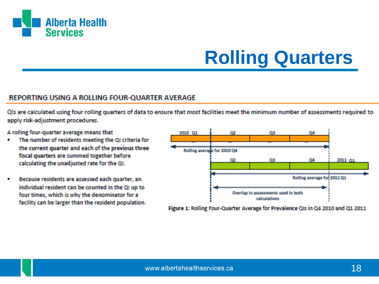

## **Rolling Quarters**

#### REPORTING USING A ROLLING FOUR-QUARTER AVERAGE

Ols are calculated using four rolling quarters of data to ensure that most facilities meet the minimum number of assessments required to apply risk-adjustment procedures.

A rolling four-quarter average means that

- The number of residents meeting the QI criteria for the current quarter and each of the previous three fiscal quarters are summed together before calculating the unadjusted rate for the QI.
- Because residents are assessed each quarter, an individual resident can be counted in the QI up to four times, which is why the denominator for a facility can be larger than the resident population.



Figure 1: Rolling Four-Quarter Average for Prevalence QIs in Q4 2010 and Q1 2011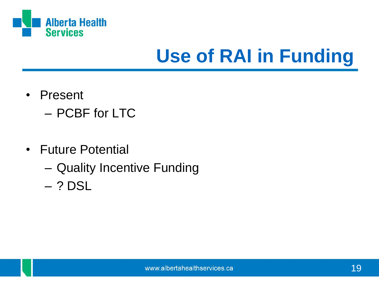

## **Use of RAI in Funding**

- Present
	- PCBF for LTC
- Future Potential
	- Quality Incentive Funding
	- ? DSL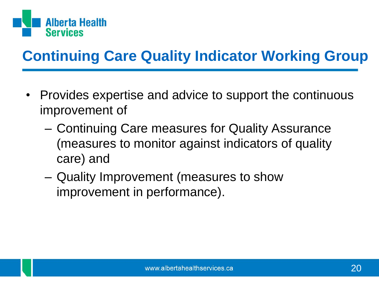

#### **Continuing Care Quality Indicator Working Group**

- Provides expertise and advice to support the continuous improvement of
	- Continuing Care measures for Quality Assurance (measures to monitor against indicators of quality care) and
	- Quality Improvement (measures to show improvement in performance).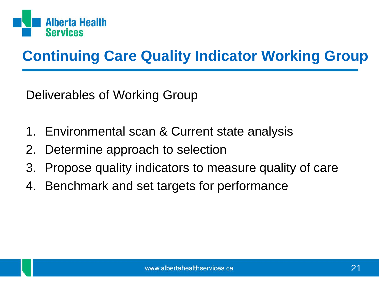

#### **Continuing Care Quality Indicator Working Group**

Deliverables of Working Group

- 1. Environmental scan & Current state analysis
- 2. Determine approach to selection
- 3. Propose quality indicators to measure quality of care
- 4. Benchmark and set targets for performance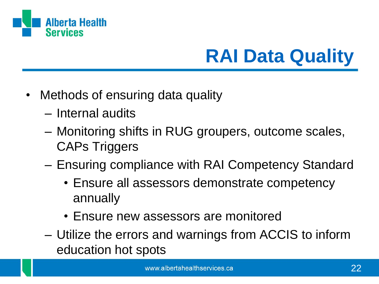

## **RAI Data Quality**

- Methods of ensuring data quality
	- Internal audits
	- Monitoring shifts in RUG groupers, outcome scales, CAPs Triggers
	- Ensuring compliance with RAI Competency Standard
		- Ensure all assessors demonstrate competency annually
		- Ensure new assessors are monitored
	- Utilize the errors and warnings from ACCIS to inform education hot spots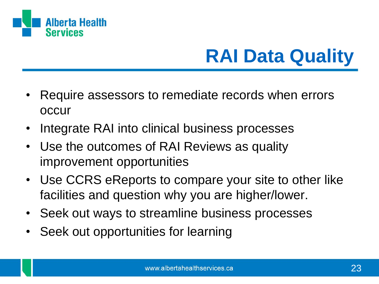

## **RAI Data Quality**

- Require assessors to remediate records when errors occur
- Integrate RAI into clinical business processes
- Use the outcomes of RAI Reviews as quality improvement opportunities
- Use CCRS eReports to compare your site to other like facilities and question why you are higher/lower.
- Seek out ways to streamline business processes
- Seek out opportunities for learning